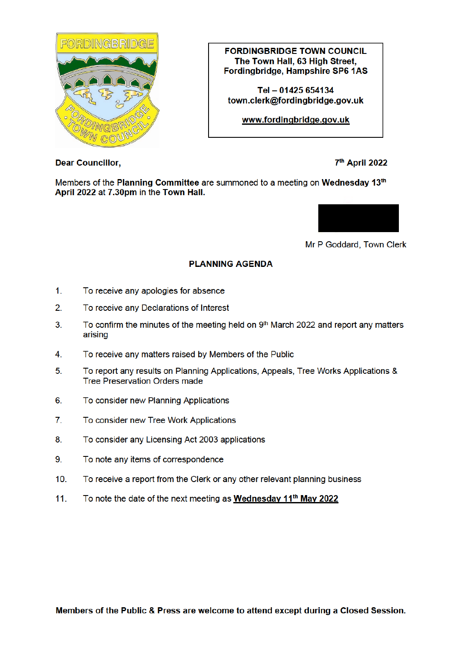

**FORDINGBRIDGE TOWN COUNCIL** The Town Hall, 63 High Street. Fordingbridge, Hampshire SP6 1AS

Tel - 01425 654134 town.clerk@fordinabridae.aov.uk

www.fordingbridge.gov.uk

**Dear Councillor,** 

7<sup>th</sup> April 2022

Members of the Planning Committee are summoned to a meeting on Wednesday 13th April 2022 at 7.30pm in the Town Hall.



Mr P Goddard, Town Clerk

## **PLANNING AGENDA**

- $1<sub>1</sub>$ To receive any apologies for absence
- $2.$ To receive any Declarations of Interest
- $3<sub>1</sub>$ To confirm the minutes of the meeting held on 9th March 2022 and report any matters arising
- $\overline{4}$ To receive any matters raised by Members of the Public
- 5. To report any results on Planning Applications, Appeals, Tree Works Applications & **Tree Preservation Orders made**
- 6. To consider new Planning Applications
- $\mathbf{7}$ . To consider new Tree Work Applications
- 8. To consider any Licensing Act 2003 applications
- $9<sub>1</sub>$ To note any items of correspondence
- $10<sub>1</sub>$ To receive a report from the Clerk or any other relevant planning business
- To note the date of the next meeting as Wednesday 11<sup>th</sup> May 2022  $11<sub>1</sub>$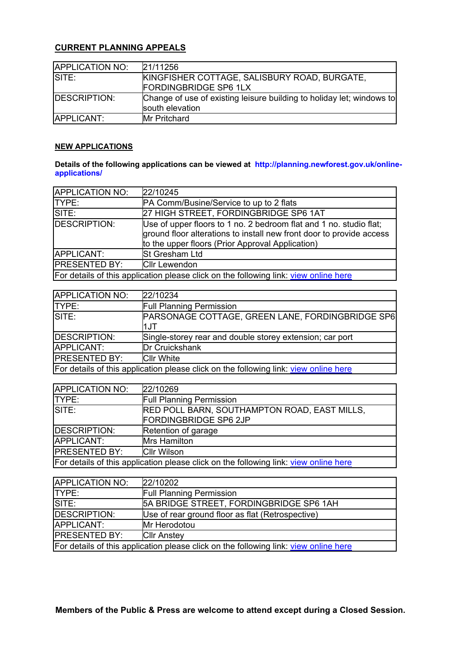## **CURRENT PLANNING APPEALS**

| <b>APPLICATION NO:</b> | 21/11256                                                                                 |
|------------------------|------------------------------------------------------------------------------------------|
| SITE:                  | KINGFISHER COTTAGE, SALISBURY ROAD, BURGATE,                                             |
|                        | <b>FORDINGBRIDGE SP6 1LX</b>                                                             |
| <b>IDESCRIPTION:</b>   | Change of use of existing leisure building to holiday let; windows to<br>south elevation |
| APPLICANT:             | <b>IMr Pritchard</b>                                                                     |
|                        |                                                                                          |

## **NEW APPLICATIONS**

## **Details of the following applications can be viewed at http://planning.newforest.gov.uk/onlineapplications/**

| APPLICATION NO:                                                                      | 22/10245                                                                                                                                                                                       |
|--------------------------------------------------------------------------------------|------------------------------------------------------------------------------------------------------------------------------------------------------------------------------------------------|
| TYPE:                                                                                | <b>PA Comm/Busine/Service to up to 2 flats</b>                                                                                                                                                 |
| SITE:                                                                                | 27 HIGH STREET, FORDINGBRIDGE SP6 1AT                                                                                                                                                          |
| <b>DESCRIPTION:</b>                                                                  | Use of upper floors to 1 no. 2 bedroom flat and 1 no. studio flat;<br>ground floor alterations to install new front door to provide access<br>to the upper floors (Prior Approval Application) |
| APPLICANT:                                                                           | <b>St Gresham Ltd</b>                                                                                                                                                                          |
| <b>PRESENTED BY:</b>                                                                 | <b>Cllr Lewendon</b>                                                                                                                                                                           |
| For details of this application please click on the following link: view online here |                                                                                                                                                                                                |

| APPLICATION NO:                                                                      | 22/10234                                                 |
|--------------------------------------------------------------------------------------|----------------------------------------------------------|
| <b>TYPE:</b>                                                                         | <b>Full Planning Permission</b>                          |
| SITE:                                                                                | PARSONAGE COTTAGE, GREEN LANE, FORDINGBRIDGE SP6         |
|                                                                                      | 1JT                                                      |
| DESCRIPTION:                                                                         | Single-storey rear and double storey extension; car port |
| APPLICANT:                                                                           | <b>Dr Cruickshank</b>                                    |
| <b>IPRESENTED BY:</b>                                                                | <b>Cllr White</b>                                        |
| For details of this application please click on the following link: view online here |                                                          |

| APPLICATION NO:                                                                      | 22/10269                                                                            |
|--------------------------------------------------------------------------------------|-------------------------------------------------------------------------------------|
| TYPE:                                                                                | <b>Full Planning Permission</b>                                                     |
| SITE:                                                                                | <b>RED POLL BARN, SOUTHAMPTON ROAD, EAST MILLS,</b><br><b>FORDINGBRIDGE SP6 2JP</b> |
| DESCRIPTION:                                                                         | Retention of garage                                                                 |
| APPLICANT:                                                                           | <b>Mrs Hamilton</b>                                                                 |
| <b>PRESENTED BY:</b>                                                                 | <b>Cllr Wilson</b>                                                                  |
| For details of this application please click on the following link: view online here |                                                                                     |

| <b>APPLICATION NO:</b>                                                               | 22/10202                                         |
|--------------------------------------------------------------------------------------|--------------------------------------------------|
| ITYPE:                                                                               | <b>Full Planning Permission</b>                  |
| SITE:                                                                                | 5A BRIDGE STREET, FORDINGBRIDGE SP6 1AH          |
| DESCRIPTION:                                                                         | Use of rear ground floor as flat (Retrospective) |
| APPLICANT:                                                                           | Mr Herodotou                                     |
| <b>IPRESENTED BY:</b>                                                                | <b>Cllr Anstey</b>                               |
| For details of this application please click on the following link: view online here |                                                  |